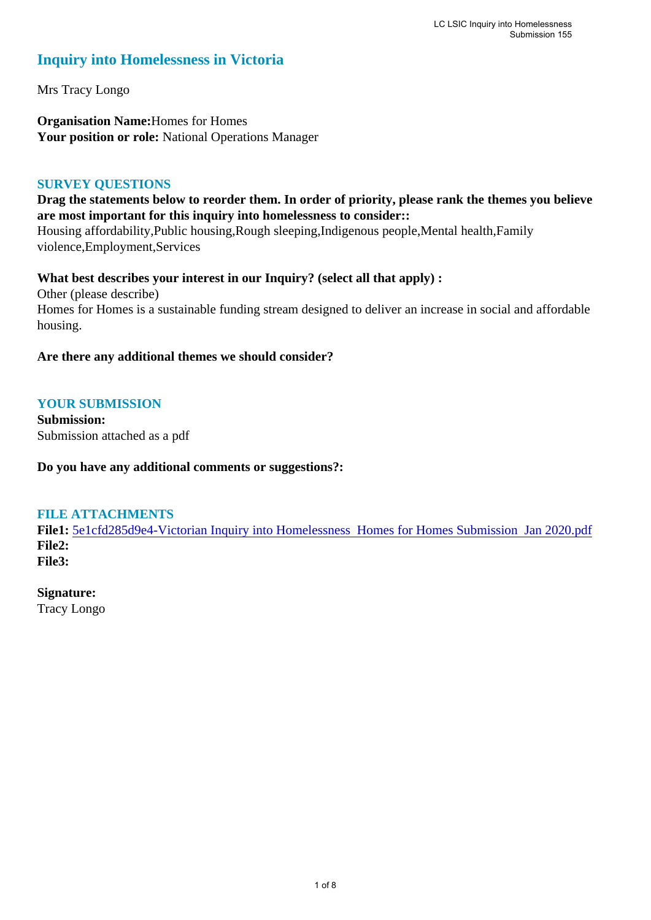# **Inquiry into Homelessness in Victoria**

Mrs Tracy Longo

**Organisation Name:**Homes for Homes Your position or role: National Operations Manager

#### **SURVEY QUESTIONS**

**Drag the statements below to reorder them. In order of priority, please rank the themes you believe are most important for this inquiry into homelessness to consider::** 

Housing affordability,Public housing,Rough sleeping,Indigenous people,Mental health,Family violence,Employment,Services

**What best describes your interest in our Inquiry? (select all that apply) :**  Other (please describe) Homes for Homes is a sustainable funding stream designed to deliver an increase in social and affordable housing.

## **Are there any additional themes we should consider?**

## **YOUR SUBMISSION**

**Submission:**  Submission attached as a pdf

**Do you have any additional comments or suggestions?:** 

#### **FILE ATTACHMENTS**

**File1:** [5e1cfd285d9e4-Victorian Inquiry into Homelessness Homes for Homes Submission Jan 2020.pdf](https://www.parliament.vic.gov.au/component/rsform/submission-view-file/5401b546f5f71ad396f5fe8592f24cc9/8eec5aa0818e1f41ec80c57b708ae65f?Itemid=463) **File2: File3:** 

#### **Signature:**

Tracy Longo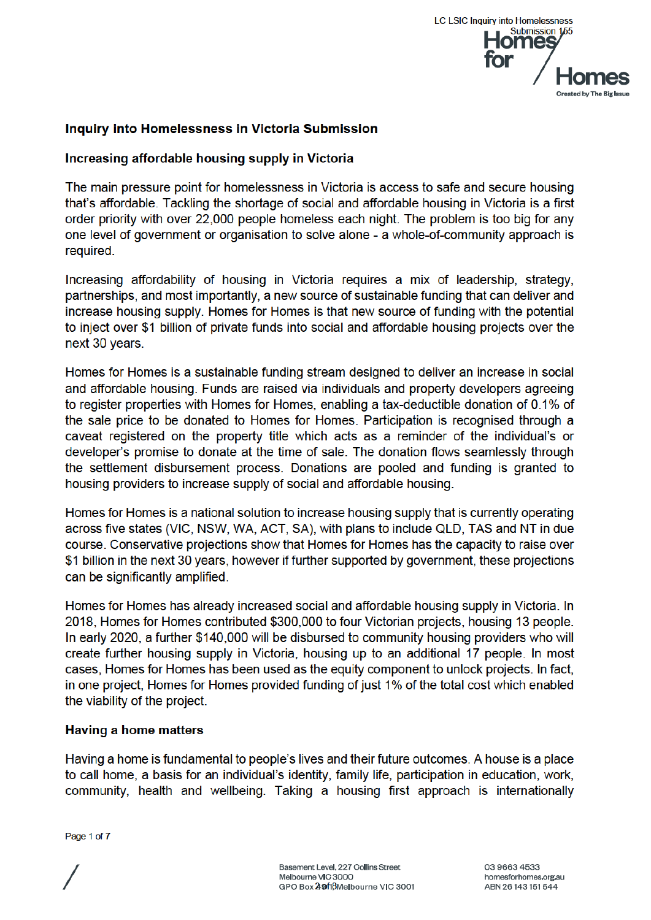

# **Inquiry into Homelessness in Victoria Submission**

## Increasing affordable housing supply in Victoria

The main pressure point for homelessness in Victoria is access to safe and secure housing that's affordable. Tackling the shortage of social and affordable housing in Victoria is a first order priority with over 22,000 people homeless each night. The problem is too big for any one level of government or organisation to solve alone - a whole-of-community approach is required.

Increasing affordability of housing in Victoria requires a mix of leadership, strategy, partnerships, and most importantly, a new source of sustainable funding that can deliver and increase housing supply. Homes for Homes is that new source of funding with the potential to inject over \$1 billion of private funds into social and affordable housing projects over the next 30 years.

Homes for Homes is a sustainable funding stream designed to deliver an increase in social and affordable housing. Funds are raised via individuals and property developers agreeing to register properties with Homes for Homes, enabling a tax-deductible donation of 0.1% of the sale price to be donated to Homes for Homes. Participation is recognised through a caveat registered on the property title which acts as a reminder of the individual's or developer's promise to donate at the time of sale. The donation flows seamlessly through the settlement disbursement process. Donations are pooled and funding is granted to housing providers to increase supply of social and affordable housing.

Homes for Homes is a national solution to increase housing supply that is currently operating across five states (VIC, NSW, WA, ACT, SA), with plans to include QLD, TAS and NT in due course. Conservative projections show that Homes for Homes has the capacity to raise over \$1 billion in the next 30 years, however if further supported by government, these projections can be significantly amplified.

Homes for Homes has already increased social and affordable housing supply in Victoria. In 2018. Homes for Homes contributed \$300,000 to four Victorian projects, housing 13 people. In early 2020, a further \$140,000 will be disbursed to community housing providers who will create further housing supply in Victoria, housing up to an additional 17 people. In most cases, Homes for Homes has been used as the equity component to unlock projects. In fact, in one project, Homes for Homes provided funding of just 1% of the total cost which enabled the viability of the project.

#### **Having a home matters**

Having a home is fundamental to people's lives and their future outcomes. A house is a place to call home, a basis for an individual's identity, family life, participation in education, work, community, health and wellbeing. Taking a housing first approach is internationally

Page 1 of 7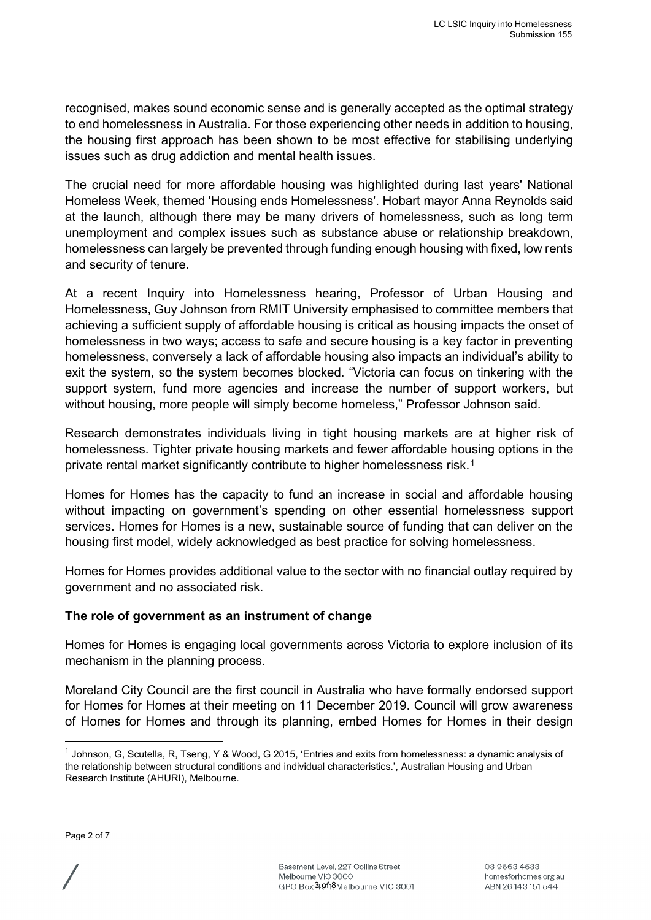recognised, makes sound economic sense and is generally accepted as the optimal strategy to end homelessness in Australia. For those experiencing other needs in addition to housing, the housing first approach has been shown to be most effective for stabilising underlying issues such as drug addiction and mental health issues.

The crucial need for more affordable housing was highlighted during last years' National Homeless Week, themed 'Housing ends Homelessness'. Hobart mayor Anna Reynolds said at the launch, although there may be many drivers of homelessness, such as long term unemployment and complex issues such as substance abuse or relationship breakdown, homelessness can largely be prevented through funding enough housing with fixed, low rents and security of tenure.

At a recent Inquiry into Homelessness hearing, Professor of Urban Housing and Homelessness, Guy Johnson from RMIT University emphasised to committee members that achieving a sufficient supply of affordable housing is critical as housing impacts the onset of homelessness in two ways; access to safe and secure housing is a key factor in preventing homelessness, conversely a lack of affordable housing also impacts an individual's ability to exit the system, so the system becomes blocked. "Victoria can focus on tinkering with the support system, fund more agencies and increase the number of support workers, but without housing, more people will simply become homeless," Professor Johnson said.

Research demonstrates individuals living in tight housing markets are at higher risk of homelessness. Tighter private housing markets and fewer affordable housing options in the private rental market significantly contribute to higher homelessness risk.<sup>[1](#page-2-0)</sup>

Homes for Homes has the capacity to fund an increase in social and affordable housing without impacting on government's spending on other essential homelessness support services. Homes for Homes is a new, sustainable source of funding that can deliver on the housing first model, widely acknowledged as best practice for solving homelessness.

Homes for Homes provides additional value to the sector with no financial outlay required by government and no associated risk.

# **The role of government as an instrument of change**

Homes for Homes is engaging local governments across Victoria to explore inclusion of its mechanism in the planning process.

Moreland City Council are the first council in Australia who have formally endorsed support for Homes for Homes at their meeting on 11 December 2019. Council will grow awareness of Homes for Homes and through its planning, embed Homes for Homes in their design

<span id="page-2-0"></span> $1$  Johnson, G, Scutella, R, Tseng, Y & Wood, G 2015, 'Entries and exits from homelessness: a dynamic analysis of the relationship between structural conditions and individual characteristics.', Australian Housing and Urban Research Institute (AHURI), Melbourne.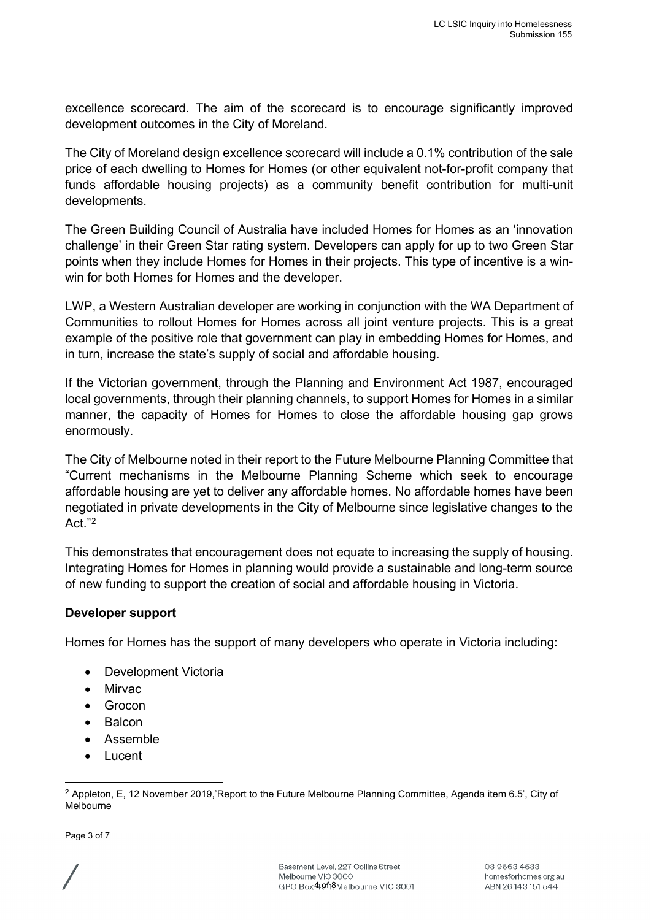excellence scorecard. The aim of the scorecard is to encourage significantly improved development outcomes in the City of Moreland.

The City of Moreland design excellence scorecard will include a 0.1% contribution of the sale price of each dwelling to Homes for Homes (or other equivalent not-for-profit company that funds affordable housing projects) as a community benefit contribution for multi-unit developments.

The Green Building Council of Australia have included Homes for Homes as an 'innovation challenge' in their Green Star rating system. Developers can apply for up to two Green Star points when they include Homes for Homes in their projects. This type of incentive is a winwin for both Homes for Homes and the developer.

LWP, a Western Australian developer are working in conjunction with the WA Department of Communities to rollout Homes for Homes across all joint venture projects. This is a great example of the positive role that government can play in embedding Homes for Homes, and in turn, increase the state's supply of social and affordable housing.

If the Victorian government, through the Planning and Environment Act 1987, encouraged local governments, through their planning channels, to support Homes for Homes in a similar manner, the capacity of Homes for Homes to close the affordable housing gap grows enormously.

The City of Melbourne noted in their report to the Future Melbourne Planning Committee that "Current mechanisms in the Melbourne Planning Scheme which seek to encourage affordable housing are yet to deliver any affordable homes. No affordable homes have been negotiated in private developments in the City of Melbourne since legislative changes to the Act."[2](#page-3-0)

This demonstrates that encouragement does not equate to increasing the supply of housing. Integrating Homes for Homes in planning would provide a sustainable and long-term source of new funding to support the creation of social and affordable housing in Victoria.

#### **Developer support**

Homes for Homes has the support of many developers who operate in Victoria including:

- Development Victoria
- Mirvac
- Grocon
- Balcon
- Assemble
- Lucent

Page 3 of 7

<span id="page-3-0"></span><sup>2</sup> Appleton, E, 12 November 2019,'Report to the Future Melbourne Planning Committee, Agenda item 6.5', City of Melbourne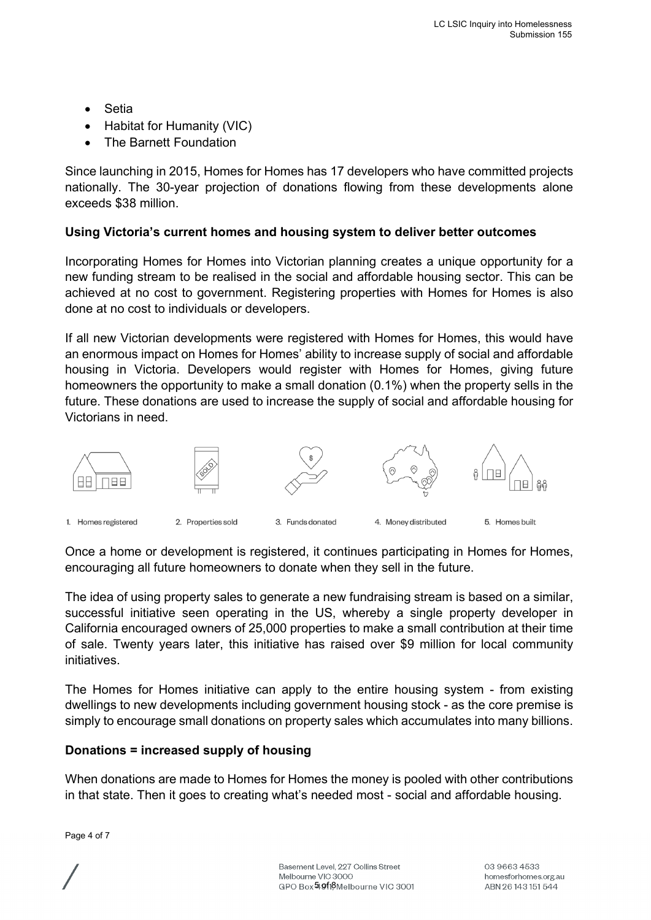- Setia
- Habitat for Humanity (VIC)
- **The Barnett Foundation**

Since launching in 2015, Homes for Homes has 17 developers who have committed projects nationally. The 30-year projection of donations flowing from these developments alone exceeds \$38 million.

# **Using Victoria's current homes and housing system to deliver better outcomes**

Incorporating Homes for Homes into Victorian planning creates a unique opportunity for a new funding stream to be realised in the social and affordable housing sector. This can be achieved at no cost to government. Registering properties with Homes for Homes is also done at no cost to individuals or developers.

If all new Victorian developments were registered with Homes for Homes, this would have an enormous impact on Homes for Homes' ability to increase supply of social and affordable housing in Victoria. Developers would register with Homes for Homes, giving future homeowners the opportunity to make a small donation (0.1%) when the property sells in the future. These donations are used to increase the supply of social and affordable housing for Victorians in need.



Once a home or development is registered, it continues participating in Homes for Homes, encouraging all future homeowners to donate when they sell in the future.

The idea of using property sales to generate a new fundraising stream is based on a similar, successful initiative seen operating in the US, whereby a single property developer in California encouraged owners of 25,000 properties to make a small contribution at their time of sale. Twenty years later, this initiative has raised over \$9 million for local community initiatives.

The Homes for Homes initiative can apply to the entire housing system - from existing dwellings to new developments including government housing stock - as the core premise is simply to encourage small donations on property sales which accumulates into many billions.

# **Donations = increased supply of housing**

When donations are made to Homes for Homes the money is pooled with other contributions in that state. Then it goes to creating what's needed most - social and affordable housing.

Page 4 of 7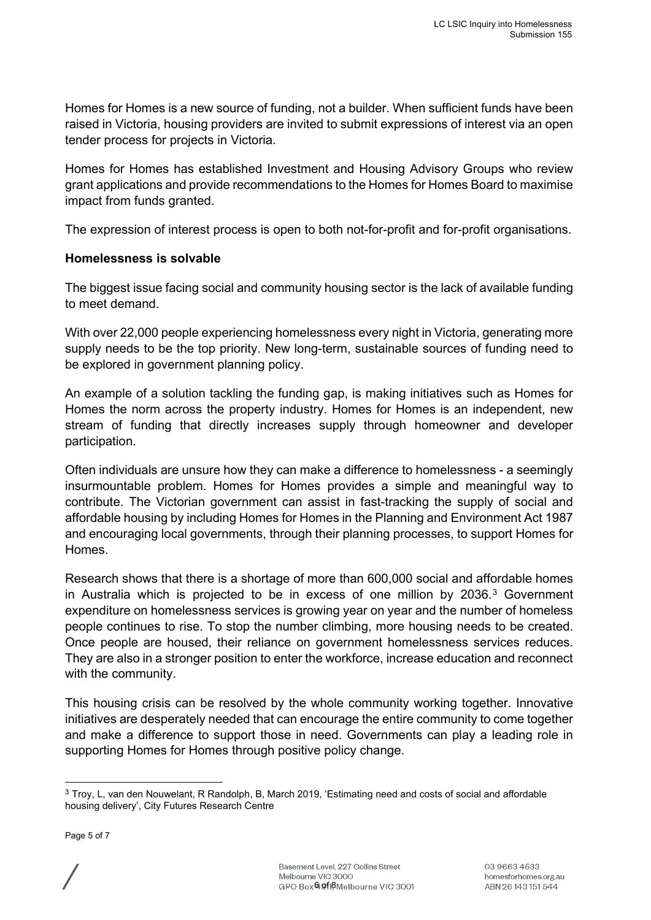Homes for Homes is a new source of funding, not a builder. When sufficient funds have been raised in Victoria, housing providers are invited to submit expressions of interest via an open tender process for projects in Victoria.

Homes for Homes has established Investment and Housing Advisory Groups who review grant applications and provide recommendations to the Homes for Homes Board to maximise impact from funds granted.

The expression of interest process is open to both not-for-profit and for-profit organisations.

## **Homelessness is solvable**

The biggest issue facing social and community housing sector is the lack of available funding to meet demand.

With over 22,000 people experiencing homelessness every night in Victoria, generating more supply needs to be the top priority. New long-term, sustainable sources of funding need to be explored in government planning policy.

An example of a solution tackling the funding gap, is making initiatives such as Homes for Homes the norm across the property industry. Homes for Homes is an independent, new stream of funding that directly increases supply through homeowner and developer participation.

Often individuals are unsure how they can make a difference to homelessness - a seemingly insurmountable problem. Homes for Homes provides a simple and meaningful way to contribute. The Victorian government can assist in fast-tracking the supply of social and affordable housing by including Homes for Homes in the Planning and Environment Act 1987 and encouraging local governments, through their planning processes, to support Homes for **Homes** 

Research shows that there is a shortage of more than 600,000 social and affordable homes in Australia which is projected to be in excess of one million by 2036.[3](#page-5-0) Government expenditure on homelessness services is growing year on year and the number of homeless people continues to rise. To stop the number climbing, more housing needs to be created. Once people are housed, their reliance on government homelessness services reduces. They are also in a stronger position to enter the workforce, increase education and reconnect with the community.

This housing crisis can be resolved by the whole community working together. Innovative initiatives are desperately needed that can encourage the entire community to come together and make a difference to support those in need. Governments can play a leading role in supporting Homes for Homes through positive policy change.

<span id="page-5-0"></span><sup>3</sup> Troy, L, van den Nouwelant, R Randolph, B, March 2019, 'Estimating need and costs of social and affordable housing delivery', City Futures Research Centre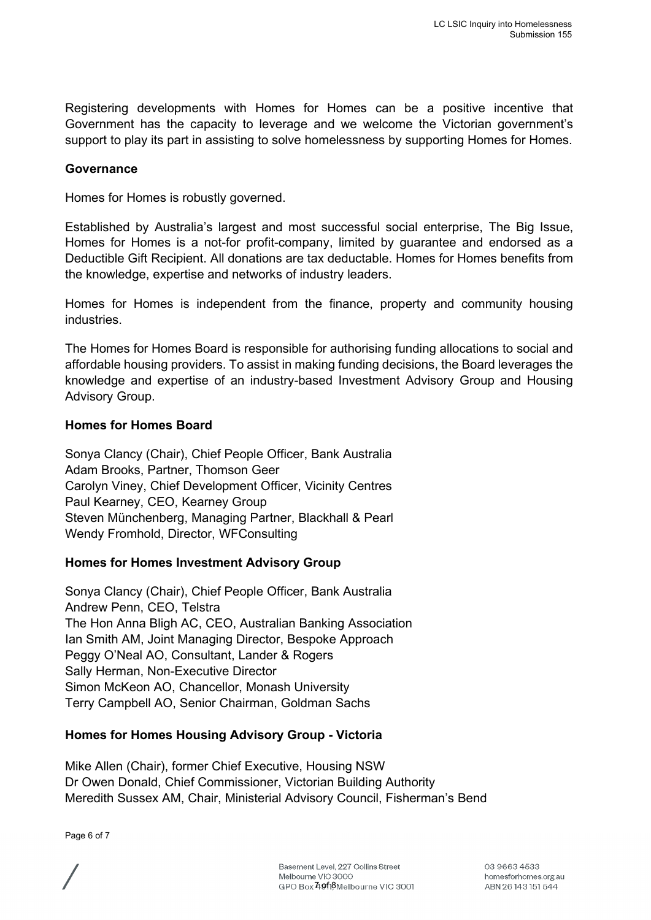Registering developments with Homes for Homes can be a positive incentive that Government has the capacity to leverage and we welcome the Victorian government's support to play its part in assisting to solve homelessness by supporting Homes for Homes.

#### **Governance**

Homes for Homes is robustly governed.

Established by Australia's largest and most successful social enterprise, The Big Issue, Homes for Homes is a not-for profit-company, limited by guarantee and endorsed as a Deductible Gift Recipient. All donations are tax deductable. Homes for Homes benefits from the knowledge, expertise and networks of industry leaders.

Homes for Homes is independent from the finance, property and community housing **industries** 

The Homes for Homes Board is responsible for authorising funding allocations to social and affordable housing providers. To assist in making funding decisions, the Board leverages the knowledge and expertise of an industry-based Investment Advisory Group and Housing Advisory Group.

## **Homes for Homes Board**

Sonya Clancy (Chair), Chief People Officer, Bank Australia Adam Brooks, Partner, Thomson Geer Carolyn Viney, Chief Development Officer, Vicinity Centres Paul Kearney, CEO, Kearney Group Steven Münchenberg, Managing Partner, Blackhall & Pearl Wendy Fromhold, Director, WFConsulting

# **Homes for Homes Investment Advisory Group**

Sonya Clancy (Chair), Chief People Officer, Bank Australia Andrew Penn, CEO, Telstra The Hon Anna Bligh AC, CEO, Australian Banking Association Ian Smith AM, Joint Managing Director, Bespoke Approach Peggy O'Neal AO, Consultant, Lander & Rogers Sally Herman, Non-Executive Director Simon McKeon AO, Chancellor, Monash University Terry Campbell AO, Senior Chairman, Goldman Sachs

# **Homes for Homes Housing Advisory Group - Victoria**

Mike Allen (Chair), former Chief Executive, Housing NSW Dr Owen Donald, Chief Commissioner, Victorian Building Authority Meredith Sussex AM, Chair, Ministerial Advisory Council, Fisherman's Bend

Page 6 of 7